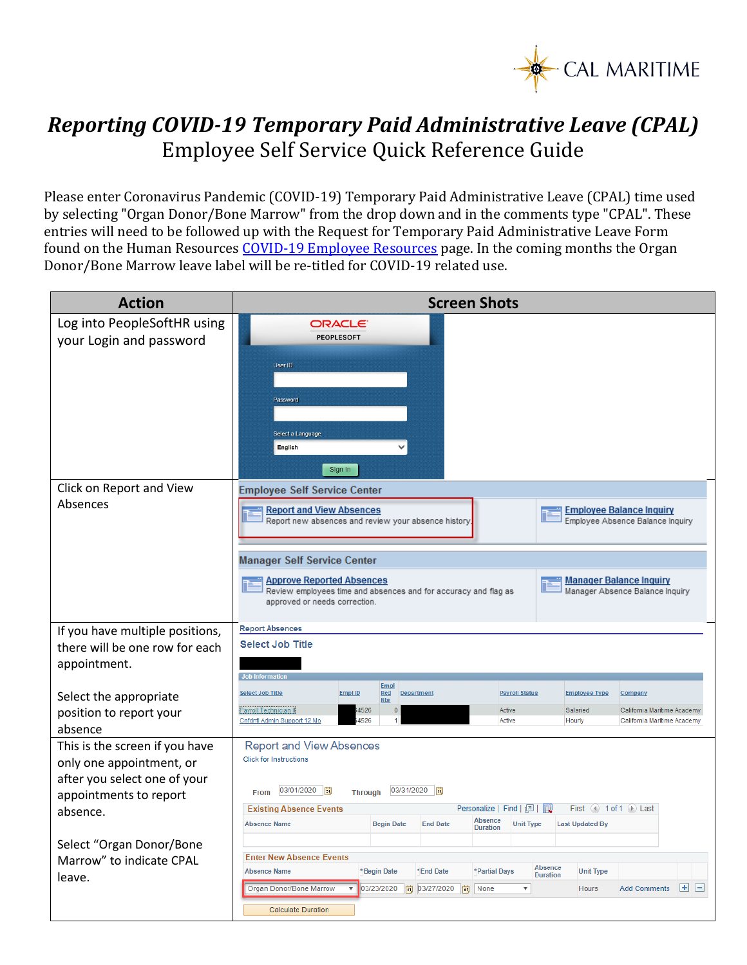

## *Reporting COVID-19 Temporary Paid Administrative Leave (CPAL)* Employee Self Service Quick Reference Guide

Please enter Coronavirus Pandemic (COVID-19) Temporary Paid Administrative Leave (CPAL) time used by selecting "Organ Donor/Bone Marrow" from the drop down and in the comments type "CPAL". These entries will need to be followed up with the Request for Temporary Paid Administrative Leave Form found on the Human Resources [COVID-19 Employee Resources](https://www.csum.edu/web/hr/home/covid-19) page. In the coming months the Organ Donor/Bone Marrow leave label will be re-titled for COVID-19 related use.

| <b>Action</b>                                                                                                                                                | <b>Screen Shots</b>                                                                                                                                                                                                                                                                                                                                                                                                                                      |
|--------------------------------------------------------------------------------------------------------------------------------------------------------------|----------------------------------------------------------------------------------------------------------------------------------------------------------------------------------------------------------------------------------------------------------------------------------------------------------------------------------------------------------------------------------------------------------------------------------------------------------|
| Log into PeopleSoftHR using<br>your Login and password                                                                                                       | ORACLE <sup>®</sup><br><b>PEOPLESOFT</b><br>User ID<br>Password<br>Select a Language<br>English<br>Sign In                                                                                                                                                                                                                                                                                                                                               |
| Click on Report and View<br>Absences                                                                                                                         | <b>Employee Self Service Center</b><br><b>Report and View Absences</b><br><b>Employee Balance Inquiry</b><br>Report new absences and review your absence history.<br>Employee Absence Balance Inquiry<br><b>Manager Self Service Center</b><br><b>Approve Reported Absences</b><br><b>Manager Balance Inquiry</b><br>Manager Absence Balance Inquiry<br>Review employees time and absences and for accuracy and flag as<br>approved or needs correction. |
| If you have multiple positions,<br>there will be one row for each<br>appointment.                                                                            | <b>Report Absences</b><br><b>Select Job Title</b><br>Job Information                                                                                                                                                                                                                                                                                                                                                                                     |
| Select the appropriate<br>position to report your<br>absence                                                                                                 | <b>Empl</b><br><b>Select Job Title</b><br><b>Empl ID</b><br>Rcd<br><b>Payroll Status</b><br><b>Employee Type</b><br>Department<br>Company<br>Nbr<br>Payroll Technician II<br>Active<br>Salaried<br>California Maritime Academy<br>4526<br>$\overline{0}$<br>Cnfdntl Admin Support 12 Mo<br>4526<br>Active<br>Hourly<br>California Maritime Academy                                                                                                       |
| This is the screen if you have<br>only one appointment, or<br>after you select one of your<br>appointments to report<br>absence.<br>Select "Organ Donor/Bone | <b>Report and View Absences</b><br><b>Click for Instructions</b><br>03/01/2020  司<br>03/31/2020   同<br><b>Through</b><br>From<br>First $(4)$ 1 of 1 $(6)$ Last<br><b>Existing Absence Events</b><br>Absence<br><b>Absence Name</b><br><b>Begin Date</b><br><b>End Date</b><br><b>Last Updated By</b><br><b>Unit Type</b><br><b>Duration</b><br><b>Enter New Absence Events</b>                                                                           |
| Marrow" to indicate CPAL<br>leave.                                                                                                                           | Absence<br><b>Absence Name</b><br>*Begin Date<br>*End Date<br>*Partial Days<br><b>Unit Type</b><br><b>Duration</b><br>$+$ $-$<br>03/23/2020<br><b>Organ Donor/Bone Marrow</b><br>同 03/27/2020<br>None<br>▼<br><b>Add Comments</b><br>Ħ<br>Hours<br><b>Calculate Duration</b>                                                                                                                                                                             |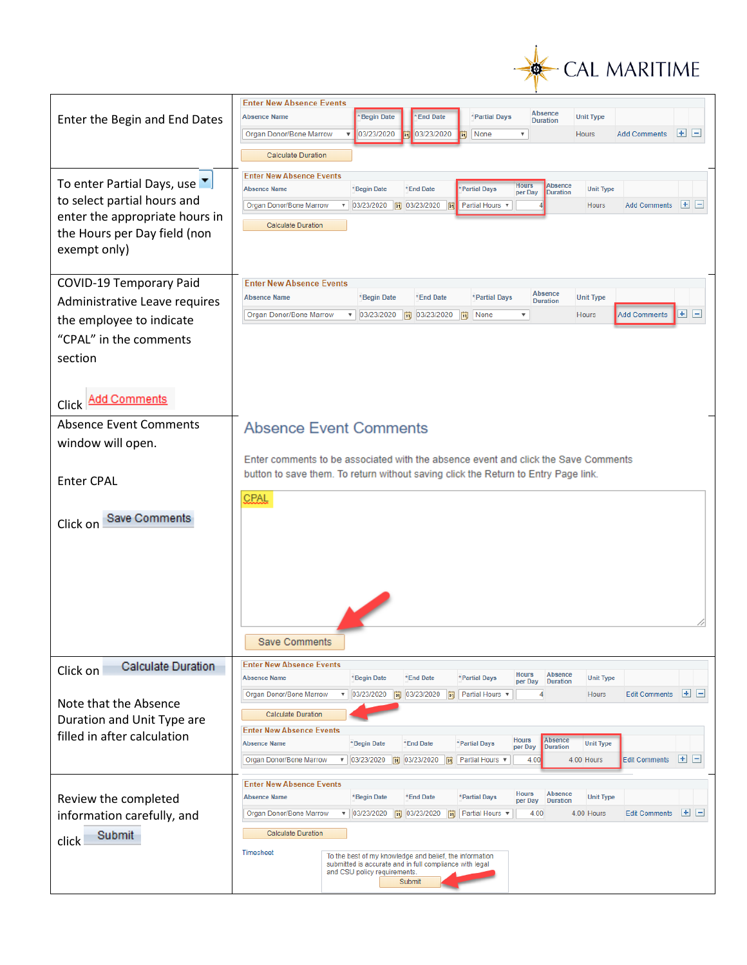

|                                                                | <b>Enter New Absence Events</b>                                                                                                                                                                                                                                                    |
|----------------------------------------------------------------|------------------------------------------------------------------------------------------------------------------------------------------------------------------------------------------------------------------------------------------------------------------------------------|
| Enter the Begin and End Dates                                  | Absence<br><b>Absence Name</b><br>*Begin Date<br><b>End Date</b><br>*Partial Days<br><b>Unit Type</b><br><b>Duration</b>                                                                                                                                                           |
|                                                                | $+$ $-$<br>Organ Donor/Bone Marrow<br>03/23/2020<br>03/23/2020<br>None<br>$\overline{\mathbf{v}}$<br>۷<br>m<br><b>Hours</b><br><b>Add Comments</b><br>Bi                                                                                                                           |
|                                                                | <b>Calculate Duration</b>                                                                                                                                                                                                                                                          |
|                                                                | <b>Enter New Absence Events</b>                                                                                                                                                                                                                                                    |
| To enter Partial Days, use ▼                                   | <b>Hours</b><br><b>Absence</b><br>Partial Days<br><b>Absence Name</b><br>*Begin Date<br>*End Date<br><b>Unit Type</b><br>per Day<br><b>Duration</b>                                                                                                                                |
| to select partial hours and                                    | $+$ $-$<br>Organ Donor/Bone Marrow<br>▼   03/23/2020   31 03/23/2020   31 Partial Hours ▼<br><b>Hours</b><br><b>Add Comments</b>                                                                                                                                                   |
| enter the appropriate hours in<br>the Hours per Day field (non | <b>Calculate Duration</b>                                                                                                                                                                                                                                                          |
| exempt only)                                                   |                                                                                                                                                                                                                                                                                    |
|                                                                |                                                                                                                                                                                                                                                                                    |
| <b>COVID-19 Temporary Paid</b>                                 | <b>Enter New Absence Events</b>                                                                                                                                                                                                                                                    |
| Administrative Leave requires                                  | Absence<br><b>Absence Name</b><br>*Begin Date<br>*End Date<br>*Partial Days<br><b>Unit Type</b><br><b>Duration</b>                                                                                                                                                                 |
| the employee to indicate                                       | $+$ $-$<br>Organ Donor/Bone Marrow<br>$\bullet$ 03/23/2020<br>同 03/23/2020<br>$\overline{\mathbf{v}}$<br><b>Add Comments</b><br>Ħ<br>None<br>Hours                                                                                                                                 |
| "CPAL" in the comments                                         |                                                                                                                                                                                                                                                                                    |
| section                                                        |                                                                                                                                                                                                                                                                                    |
|                                                                |                                                                                                                                                                                                                                                                                    |
| <b>Add Comments</b>                                            |                                                                                                                                                                                                                                                                                    |
| Click <sup>1</sup>                                             |                                                                                                                                                                                                                                                                                    |
| <b>Absence Event Comments</b>                                  | <b>Absence Event Comments</b>                                                                                                                                                                                                                                                      |
| window will open.                                              | Enter comments to be associated with the absence event and click the Save Comments                                                                                                                                                                                                 |
|                                                                | button to save them. To return without saving click the Return to Entry Page link.                                                                                                                                                                                                 |
| <b>Enter CPAL</b>                                              |                                                                                                                                                                                                                                                                                    |
|                                                                | CPAL                                                                                                                                                                                                                                                                               |
| Save Comments<br>Click on                                      |                                                                                                                                                                                                                                                                                    |
|                                                                |                                                                                                                                                                                                                                                                                    |
|                                                                |                                                                                                                                                                                                                                                                                    |
|                                                                |                                                                                                                                                                                                                                                                                    |
|                                                                |                                                                                                                                                                                                                                                                                    |
|                                                                |                                                                                                                                                                                                                                                                                    |
|                                                                | <b>Save Comments</b>                                                                                                                                                                                                                                                               |
| Calculate Duration                                             | <b>Enter New Absence Events</b>                                                                                                                                                                                                                                                    |
| Click on                                                       | <b>Hours</b><br>Absence<br>*End Date<br><b>Absence Name</b><br>*Begin Date<br>*Partial Days<br><b>Unit Type</b><br>per Day<br><b>Duration</b>                                                                                                                                      |
| Note that the Absence                                          | 国国<br>Organ Donor/Bone Marrow<br>$\bullet$ 03/23/2020<br>03/23/2020<br>Partial Hours v<br><b>Edit Comments</b><br>Bt<br>BU<br>Hours<br>4                                                                                                                                           |
| Duration and Unit Type are                                     | <b>Calculate Duration</b>                                                                                                                                                                                                                                                          |
| filled in after calculation                                    | <b>Enter New Absence Events</b><br><b>Absence</b><br><b>Hours</b>                                                                                                                                                                                                                  |
|                                                                | *Partial Days<br><b>Absence Name</b><br>*Begin Date<br>*End Date<br><b>Unit Type</b><br>per Day<br><b>Duration</b><br>$+$ $-$<br><b>Organ Donor/Bone Marrow</b><br>$\bullet$ 03/23/2020<br>Ħ<br>03/23/2020<br>Partial Hours v<br>4.00<br>4.00 Hours<br><b>Edit Comments</b><br>Fil |
|                                                                |                                                                                                                                                                                                                                                                                    |
|                                                                | <b>Enter New Absence Events</b><br><b>Hours</b><br>Absence<br><b>Absence Name</b><br>*Begin Date<br>*End Date<br>*Partial Days<br><b>Unit Type</b>                                                                                                                                 |
| Review the completed<br>information carefully, and             | per Day<br><b>Duration</b><br>$+$ $-$<br>Organ Donor/Bone Marrow<br>$\bullet$ 03/23/2020<br>同 03/23/2020<br>Partial Hours v<br>4.00<br>4.00 Hours<br><b>Edit Comments</b><br>BU                                                                                                    |
| Submit                                                         | <b>Calculate Duration</b>                                                                                                                                                                                                                                                          |
| click                                                          | <b>Timesheet</b>                                                                                                                                                                                                                                                                   |
|                                                                | To the best of my knowledge and belief, the information<br>submitted is accurate and in full compliance with legal<br>and CSU policy requirements.                                                                                                                                 |
|                                                                | Submit                                                                                                                                                                                                                                                                             |